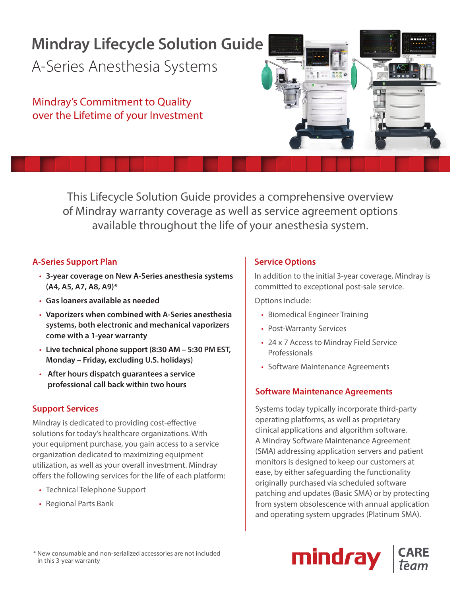# **Mindray Lifecycle Solution Guide**

A-Series Anesthesia Systems

Mindray's Commitment to Quality over the Lifetime of your Investment

> This Lifecycle Solution Guide provides a comprehensive overview of Mindray warranty coverage as well as service agreement options available throughout the life of your anesthesia system.

### **A-Series Support Plan**

- **3-year coverage on New A-Series anesthesia systems (A4, A5, A7, A8, A9)\***
- **Gas loaners available as needed**
- **Vaporizers when combined with A-Series anesthesia systems, both electronic and mechanical vaporizers come with a 1-year warranty**
- **Live technical phone support (8:30 AM 5:30 PM EST, Monday – Friday, excluding U.S. holidays)**
- **After hours dispatch guarantees a service professional call back within two hours**

## **Support Services**

Mindray is dedicated to providing cost-effective solutions for today's healthcare organizations. With your equipment purchase, you gain access to a service organization dedicated to maximizing equipment utilization, as well as your overall investment. Mindray offers the following services for the life of each platform:

- Technical Telephone Support
- Regional Parts Bank

### **Service Options**

In addition to the initial 3-year coverage, Mindray is committed to exceptional post-sale service.

Options include:

- Biomedical Engineer Training
- Post-Warranty Services
- 24 x 7 Access to Mindray Field Service Professionals
- Software Maintenance Agreements

## **Software Maintenance Agreements**

Systems today typically incorporate third-party operating platforms, as well as proprietary clinical applications and algorithm software. A Mindray Software Maintenance Agreement (SMA) addressing application servers and patient monitors is designed to keep our customers at ease, by either safeguarding the functionality originally purchased via scheduled software patching and updates (Basic SMA) or by protecting from system obsolescence with annual application and operating system upgrades (Platinum SMA).



mind*r*ay